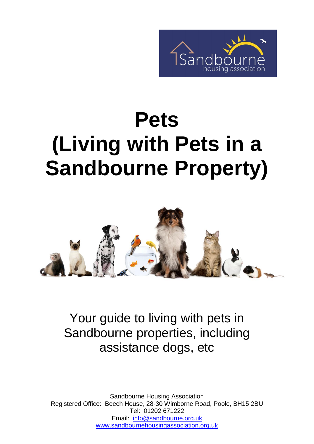

# **Pets (Living with Pets in a Sandbourne Property)**



Your guide to living with pets in Sandbourne properties, including assistance dogs, etc

Sandbourne Housing Association Registered Office: Beech House, 28-30 Wimborne Road, Poole, BH15 2BU Tel: 01202 671222 Email: [info@sandbourne.org.uk](mailto:info@sandbourne.org.uk) [www.sandbournehousingassociation.org.uk](http://www.sandbournehousingassociation.org.uk/)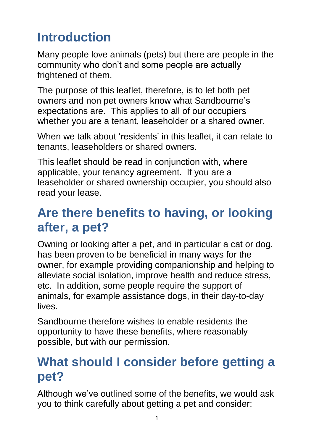# **Introduction**

Many people love animals (pets) but there are people in the community who don't and some people are actually frightened of them.

The purpose of this leaflet, therefore, is to let both pet owners and non pet owners know what Sandbourne's expectations are. This applies to all of our occupiers whether you are a tenant, leaseholder or a shared owner.

When we talk about 'residents' in this leaflet, it can relate to tenants, leaseholders or shared owners.

This leaflet should be read in conjunction with, where applicable, your tenancy agreement. If you are a leaseholder or shared ownership occupier, you should also read your lease.

## **Are there benefits to having, or looking after, a pet?**

Owning or looking after a pet, and in particular a cat or dog, has been proven to be beneficial in many ways for the owner, for example providing companionship and helping to alleviate social isolation, improve health and reduce stress, etc. In addition, some people require the support of animals, for example assistance dogs, in their day-to-day lives.

Sandbourne therefore wishes to enable residents the opportunity to have these benefits, where reasonably possible, but with our permission.

# **What should I consider before getting a pet?**

Although we've outlined some of the benefits, we would ask you to think carefully about getting a pet and consider: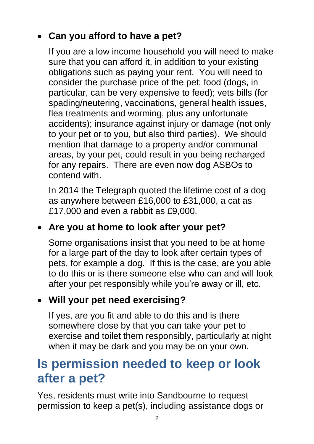### **Can you afford to have a pet?**

If you are a low income household you will need to make sure that you can afford it, in addition to your existing obligations such as paying your rent. You will need to consider the purchase price of the pet; food (dogs, in particular, can be very expensive to feed); vets bills (for spading/neutering, vaccinations, general health issues, flea treatments and worming, plus any unfortunate accidents); insurance against injury or damage (not only to your pet or to you, but also third parties). We should mention that damage to a property and/or communal areas, by your pet, could result in you being recharged for any repairs. There are even now dog ASBOs to contend with.

In 2014 the Telegraph quoted the lifetime cost of a dog as anywhere between £16,000 to £31,000, a cat as £17,000 and even a rabbit as £9,000.

#### **Are you at home to look after your pet?**

Some organisations insist that you need to be at home for a large part of the day to look after certain types of pets, for example a dog. If this is the case, are you able to do this or is there someone else who can and will look after your pet responsibly while you're away or ill, etc.

#### **Will your pet need exercising?**

If yes, are you fit and able to do this and is there somewhere close by that you can take your pet to exercise and toilet them responsibly, particularly at night when it may be dark and you may be on your own.

## **Is permission needed to keep or look after a pet?**

Yes, residents must write into Sandbourne to request permission to keep a pet(s), including assistance dogs or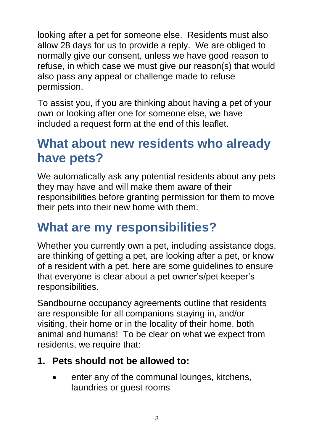looking after a pet for someone else. Residents must also allow 28 days for us to provide a reply. We are obliged to normally give our consent, unless we have good reason to refuse, in which case we must give our reason(s) that would also pass any appeal or challenge made to refuse permission.

To assist you, if you are thinking about having a pet of your own or looking after one for someone else, we have included a request form at the end of this leaflet.

## **What about new residents who already have pets?**

We automatically ask any potential residents about any pets they may have and will make them aware of their responsibilities before granting permission for them to move their pets into their new home with them.

## **What are my responsibilities?**

Whether you currently own a pet, including assistance dogs, are thinking of getting a pet, are looking after a pet, or know of a resident with a pet, here are some guidelines to ensure that everyone is clear about a pet owner's/pet keeper's responsibilities.

Sandbourne occupancy agreements outline that residents are responsible for all companions staying in, and/or visiting, their home or in the locality of their home, both animal and humans! To be clear on what we expect from residents, we require that:

#### **1. Pets should not be allowed to:**

 enter any of the communal lounges, kitchens, laundries or guest rooms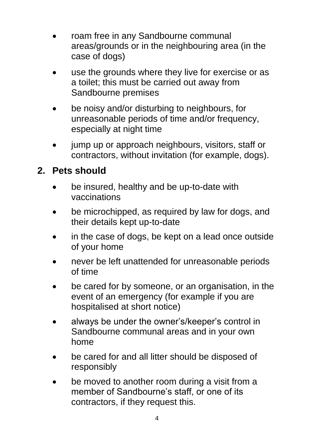- roam free in any Sandbourne communal areas/grounds or in the neighbouring area (in the case of dogs)
- use the grounds where they live for exercise or as a toilet; this must be carried out away from Sandbourne premises
- be noisy and/or disturbing to neighbours, for unreasonable periods of time and/or frequency, especially at night time
- jump up or approach neighbours, visitors, staff or contractors, without invitation (for example, dogs).

#### **2. Pets should**

- be insured, healthy and be up-to-date with vaccinations
- be microchipped, as required by law for dogs, and their details kept up-to-date
- in the case of dogs, be kept on a lead once outside of your home
- never be left unattended for unreasonable periods of time
- be cared for by someone, or an organisation, in the event of an emergency (for example if you are hospitalised at short notice)
- always be under the owner's/keeper's control in Sandbourne communal areas and in your own home
- be cared for and all litter should be disposed of responsibly
- be moved to another room during a visit from a member of Sandbourne's staff, or one of its contractors, if they request this.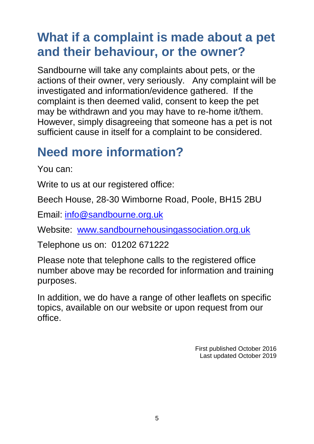# **What if a complaint is made about a pet and their behaviour, or the owner?**

Sandbourne will take any complaints about pets, or the actions of their owner, very seriously. Any complaint will be investigated and information/evidence gathered. If the complaint is then deemed valid, consent to keep the pet may be withdrawn and you may have to re-home it/them. However, simply disagreeing that someone has a pet is not sufficient cause in itself for a complaint to be considered.

## **Need more information?**

You can:

Write to us at our registered office:

Beech House, 28-30 Wimborne Road, Poole, BH15 2BU

Email: [info@sandbourne.org.uk](mailto:info@sandbourne.org.uk)

Website: [www.sandbournehousingassociation.org.uk](http://www.sandbournehousingassociation.org.uk/)

Telephone us on: 01202 671222

Please note that telephone calls to the registered office number above may be recorded for information and training purposes.

In addition, we do have a range of other leaflets on specific topics, available on our website or upon request from our office.

> First published October 2016 Last updated October 2019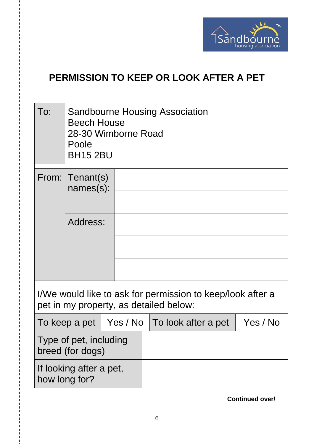

#### **PERMISSION TO KEEP OR LOOK AFTER A PET**

| To: | <b>Sandbourne Housing Association</b><br><b>Beech House</b><br>28-30 Wimborne Road<br>Poole<br><b>BH15 2BU</b> |  |  |  |
|-----|----------------------------------------------------------------------------------------------------------------|--|--|--|
|     | From: $ T$ enant(s)<br>$names(s)$ :                                                                            |  |  |  |
|     | Address:                                                                                                       |  |  |  |

I/We would like to ask for permission to keep/look after a pet in my property, as detailed below:

|                                            |  | To keep a pet   Yes / No   To look after a pet | Yes / No |
|--------------------------------------------|--|------------------------------------------------|----------|
| Type of pet, including<br>breed (for dogs) |  |                                                |          |
| If looking after a pet,<br>how long for?   |  |                                                |          |

**Continued over/**